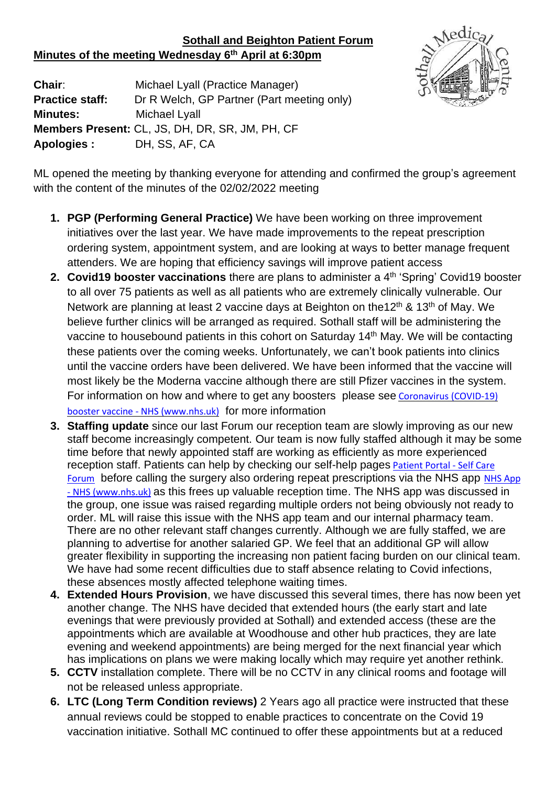## **Sothall and Beighton Patient Forum Minutes of the meeting Wednesday 6 th April at 6:30pm**



**Chair**: Michael Lyall (Practice Manager) **Practice staff:** Dr R Welch, GP Partner (Part meeting only) **Minutes:** Michael Lyall **Members Present:** CL, JS, DH, DR, SR, JM, PH, CF **Apologies :** DH, SS, AF, CA

ML opened the meeting by thanking everyone for attending and confirmed the group's agreement with the content of the minutes of the 02/02/2022 meeting

- **1. PGP (Performing General Practice)** We have been working on three improvement initiatives over the last year. We have made improvements to the repeat prescription ordering system, appointment system, and are looking at ways to better manage frequent attenders. We are hoping that efficiency savings will improve patient access
- 2. Covid19 booster vaccinations there are plans to administer a 4<sup>th</sup> 'Spring' Covid19 booster to all over 75 patients as well as all patients who are extremely clinically vulnerable. Our Network are planning at least 2 vaccine days at Beighton on the12<sup>th</sup> & 13<sup>th</sup> of May. We believe further clinics will be arranged as required. Sothall staff will be administering the vaccine to housebound patients in this cohort on Saturday 14<sup>th</sup> May. We will be contacting these patients over the coming weeks. Unfortunately, we can't book patients into clinics until the vaccine orders have been delivered. We have been informed that the vaccine will most likely be the Moderna vaccine although there are still Pfizer vaccines in the system. For information on how and where to get any boosters please see [Coronavirus](https://www.nhs.uk/conditions/coronavirus-covid-19/coronavirus-vaccination/coronavirus-booster-vaccine/) (COVID-19) booster vaccine - NHS [\(www.nhs.uk\)](https://www.nhs.uk/conditions/coronavirus-covid-19/coronavirus-vaccination/coronavirus-booster-vaccine/) for more information
- **3. Staffing update** since our last Forum our reception team are slowly improving as our new staff become increasingly competent. Our team is now fully staffed although it may be some time before that newly appointed staff are working as efficiently as more experienced reception staff. Patients can help by checking our self-help pages [Patient Portal -](https://www.selfcareforum.org/resources/patient-portal/#commonconditions) Self Care [Forum](https://www.selfcareforum.org/resources/patient-portal/#commonconditions) before calling the surgery also ordering repeat prescriptions via the NHS app NHS App - [NHS \(www.nhs.uk\)](https://www.nhs.uk/apps-library/nhs-app/) as this frees up valuable reception time. The NHS app was discussed in the group, one issue was raised regarding multiple orders not being obviously not ready to order. ML will raise this issue with the NHS app team and our internal pharmacy team. There are no other relevant staff changes currently. Although we are fully staffed, we are planning to advertise for another salaried GP. We feel that an additional GP will allow greater flexibility in supporting the increasing non patient facing burden on our clinical team. We have had some recent difficulties due to staff absence relating to Covid infections, these absences mostly affected telephone waiting times.
- **4. Extended Hours Provision**, we have discussed this several times, there has now been yet another change. The NHS have decided that extended hours (the early start and late evenings that were previously provided at Sothall) and extended access (these are the appointments which are available at Woodhouse and other hub practices, they are late evening and weekend appointments) are being merged for the next financial year which has implications on plans we were making locally which may require yet another rethink.
- **5. CCTV** installation complete. There will be no CCTV in any clinical rooms and footage will not be released unless appropriate.
- **6. LTC (Long Term Condition reviews)** 2 Years ago all practice were instructed that these annual reviews could be stopped to enable practices to concentrate on the Covid 19 vaccination initiative. Sothall MC continued to offer these appointments but at a reduced